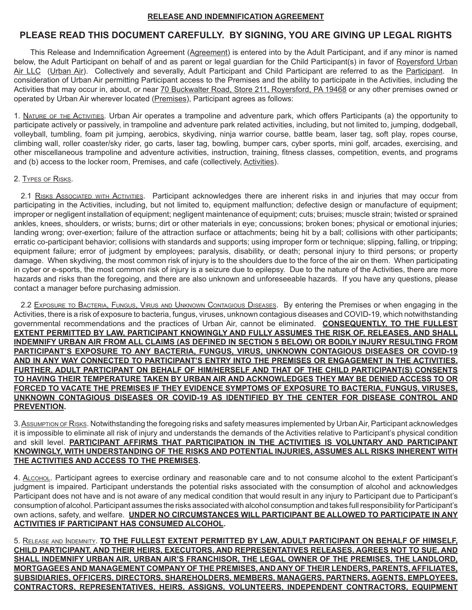## **RELEASE AND INDEMNIFICATION AGREEMENT**

# **PLEASE READ THIS DOCUMENT CAREFULLY. BY SIGNING, YOU ARE GIVING UP LEGAL RIGHTS**

This Release and Indemnification Agreement (Agreement) is entered into by the Adult Participant, and if any minor is named below, the Adult Participant on behalf of and as parent or legal guardian for the Child Participant(s) in favor of Royersford Urban Air LLC (Urban Air). Collectively and severally, Adult Participant and Child Participant are referred to as the Participant. In consideration of Urban Air permitting Participant access to the Premises and the ability to participate in the Activities, including the Activities that may occur in, about, or near 70 Buckwalter Road, Store 211, Royersford, PA 19468 or any other premises owned or operated by Urban Air wherever located (Premises), Participant agrees as follows:

1. Nature of the Activities. Urban Air operates a trampoline and adventure park, which offers Participants (a) the opportunity to participate actively or passively, in trampoline and adventure park related activities, including, but not limited to, jumping, dodgeball, volleyball, tumbling, foam pit jumping, aerobics, skydiving, ninja warrior course, battle beam, laser tag, soft play, ropes course, climbing wall, roller coaster/sky rider, go carts, laser tag, bowling, bumper cars, cyber sports, mini golf, arcades, exercising, and other miscellaneous trampoline and adventure activities, instruction, training, fitness classes, competition, events, and programs and (b) access to the locker room, Premises, and cafe (collectively, Activities).

### 2. Types of Risks.

2.1 RISKS ASSOCIATED WITH ACTIVITIES. Participant acknowledges there are inherent risks in and injuries that may occur from participating in the Activities, including, but not limited to, equipment malfunction; defective design or manufacture of equipment; improper or negligent installation of equipment; negligent maintenance of equipment; cuts; bruises; muscle strain; twisted or sprained ankles, knees, shoulders, or wrists; burns; dirt or other materials in eye; concussions; broken bones; physical or emotional injuries; landing wrong; over-exertion; failure of the attraction surface or attachments; being hit by a ball; collisions with other participants; erratic co-participant behavior; collisions with standards and supports; using improper form or technique; slipping, falling, or tripping; equipment failure; error of judgment by employees; paralysis, disability, or death; personal injury to third persons; or property damage. When skydiving, the most common risk of injury is to the shoulders due to the force of the air on them. When participating in cyber or e-sports, the most common risk of injury is a seizure due to epilepsy. Due to the nature of the Activities, there are more hazards and risks than the foregoing, and there are also unknown and unforeseeable hazards. If you have any questions, please contact a manager before purchasing admission.

2.2 Exposure TO BACTERIA, FUNGUS, VIRUS AND UNKNOWN CONTAGIOUS DISEASES. By entering the Premises or when engaging in the Activities, there is a risk of exposure to bacteria, fungus, viruses, unknown contagious diseases and COVID-19, which notwithstanding governmental recommendations and the practices of Urban Air, cannot be eliminated. **CONSEQUENTLY, TO THE FULLEST EXTENT PERMITTED BY LAW, PARTICIPANT KNOWINGLY AND FULLY ASSUMES THE RISK OF, RELEASES, AND SHALL INDEMNIFY URBAN AIR FROM ALL CLAIMS (AS DEFINED IN SECTION 5 BELOW) OR BODILY INJURY RESULTING FROM PARTICIPANT'S EXPOSURE TO ANY BACTERIA, FUNGUS, VIRUS, UNKNOWN CONTAGIOUS DISEASES OR COVID-19 AND IN ANY WAY CONNECTED TO PARTICIPANT'S ENTRY INTO THE PREMISES OR ENGAGEMENT IN THE ACTIVITIES. FURTHER, ADULT PARTICIPANT ON BEHALF OF HIM/HERSELF AND THAT OF THE CHILD PARTICIPANT(S) CONSENTS TO HAVING THEIR TEMPERATURE TAKEN BY URBAN AIR AND ACKNOWLEDGES THEY MAY BE DENIED ACCESS TO OR FORCED TO VACATE THE PREMISES IF THEY EVIDENCE SYMPTOMS OF EXPOSURE TO BACTERIA, FUNGUS, VIRUSES, UNKNOWN CONTAGIOUS DISEASES OR COVID-19 AS IDENTIFIED BY THE CENTER FOR DISEASE CONTROL AND PREVENTION.**

3. Assumption of Risks. Notwithstanding the foregoing risks and safety measures implemented by Urban Air, Participant acknowledges it is impossible to eliminate all risk of injury and understands the demands of the Activities relative to Participant's physical condition and skill level. **PARTICIPANT AFFIRMS THAT PARTICIPATION IN THE ACTIVITIES IS VOLUNTARY AND PARTICIPANT KNOWINGLY, WITH UNDERSTANDING OF THE RISKS AND POTENTIAL INJURIES, ASSUMES ALL RISKS INHERENT WITH THE ACTIVITIES AND ACCESS TO THE PREMISES.** 

4. ALcohol. Participant agrees to exercise ordinary and reasonable care and to not consume alcohol to the extent Participant's judgment is impaired. Participant understands the potential risks associated with the consumption of alcohol and acknowledges Participant does not have and is not aware of any medical condition that would result in any injury to Participant due to Participant's consumption of alcohol. Participant assumes the risks associated with alcohol consumption and takes full responsibility for Participant's own actions, safety, and welfare. **UNDER NO CIRCUMSTANCES WILL PARTICIPANT BE ALLOWED TO PARTICIPATE IN ANY ACTIVITIES IF PARTICIPANT HAS CONSUMED ALCOHOL.** 

5. Release and Indemnity. **TO THE FULLEST EXTENT PERMITTED BY LAW, ADULT PARTICIPANT ON BEHALF OF HIMSELF, CHILD PARTICIPANT, AND THEIR HEIRS, EXECUTORS, AND REPRESENTATIVES RELEASES, AGREES NOT TO SUE, AND SHALL INDEMNIFY URBAN AIR, URBAN AIR'S FRANCHISOR, THE LEGAL OWNER OF THE PREMISES, THE LANDLORD, MORTGAGEES AND MANAGEMENT COMPANY OF THE PREMISES, AND ANY OF THEIR LENDERS, PARENTS, AFFILIATES, SUBSIDIARIES, OFFICERS, DIRECTORS, SHAREHOLDERS, MEMBERS, MANAGERS, PARTNERS, AGENTS, EMPLOYEES, CONTRACTORS, REPRESENTATIVES, HEIRS, ASSIGNS, VOLUNTEERS, INDEPENDENT CONTRACTORS, EQUIPMENT**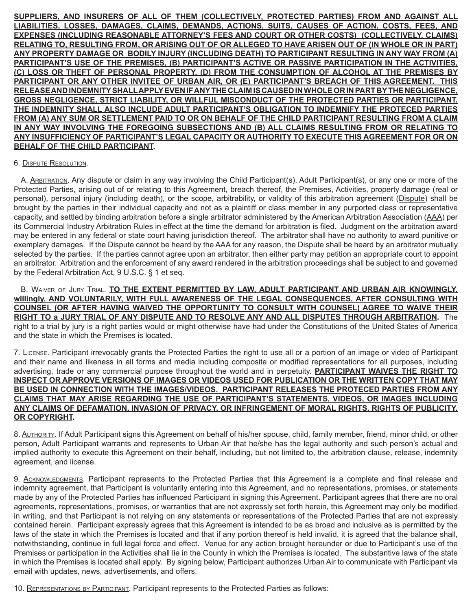**SUPPLIERS, AND INSURERS OF ALL OF THEM (COLLECTIVELY, PROTECTED PARTIES) FROM AND AGAINST ALL LIABILITIES, LOSSES, DAMAGES, CLAIMS, DEMANDS, ACTIONS, SUITS, CAUSES OF ACTION, COSTS, FEES, AND EXPENSES (INCLUDING REASONABLE ATTORNEY'S FEES AND COURT OR OTHER COSTS) (COLLECTIVELY, CLAIMS) RELATING TO, RESULTING FROM, OR ARISING OUT OF OR ALLEGED TO HAVE ARISEN OUT OF (IN WHOLE OR IN PART) ANY PROPERTY DAMAGE OR BODILY INJURY (INCLUDING DEATH) TO PARTICIPANT RESULTING IN ANY WAY FROM (A) PARTICIPANT'S USE OF THE PREMISES, (B) PARTICIPANT'S ACTIVE OR PASSIVE PARTICIPATION IN THE ACTIVITIES, (C) LOSS OR THEFT OF PERSONAL PROPERTY, (D) FROM THE CONSUMPTION OF ALCOHOL AT THE PREMISES BY PARTICIPANT OR ANY OTHER INVITEE OF URBAN AIR, OR (E) PARTICIPANT'S BREACH OF THIS AGREEMENT. THIS RELEASE AND INDEMNITY SHALL APPLY EVEN IF ANY THE CLAIM IS CAUSED IN WHOLE OR IN PART BY THE NEGLIGENCE, GROSS NEGLIGENCE, STRICT LIABILITY, OR WILLFUL MISCONDUCT OF THE PROTECTED PARTIES OR PARTICIPANT. THE INDEMNITY SHALL ALSO INCLUDE ADULT PARTICIPANT'S OBLIGATION TO INDEMNIFY THE PROTECED PARTIES FROM (A) ANY SUM OR SETTLEMENT PAID TO OR ON BEHALF OF THE CHILD PARTICIPANT RESULTING FROM A CLAIM IN ANY WAY INVOLVING THE FOREGOING SUBSECTIONS AND (B) ALL CLAIMS RESULTING FROM OR RELATING TO ANY INSUFFICIENCY OF PARTICIPANT'S LEGAL CAPACITY OR AUTHORITY TO EXECUTE THIS AGREEMENT FOR OR ON BEHALF OF THE CHILD PARTICIPANT.**

#### 6. Dispute Resolution.

A. Arbitration. Any dispute or claim in any way involving the Child Participant(s), Adult Participant(s), or any one or more of the Protected Parties, arising out of or relating to this Agreement, breach thereof, the Premises, Activities, property damage (real or personal), personal injury (including death), or the scope, arbitrability, or validity of this arbitration agreement (Dispute) shall be brought by the parties in their individual capacity and not as a plaintiff or class member in any purported class or representative capacity, and settled by binding arbitration before a single arbitrator administered by the American Arbitration Association (AAA) per its Commercial Industry Arbitration Rules in effect at the time the demand for arbitration is filed. Judgment on the arbitration award may be entered in any federal or state court having jurisdiction thereof. The arbitrator shall have no authority to award punitive or exemplary damages. If the Dispute cannot be heard by the AAA for any reason, the Dispute shall be heard by an arbitrator mutually selected by the parties. If the parties cannot agree upon an arbitrator, then either party may petition an appropriate court to appoint an arbitrator. Arbitration and the enforcement of any award rendered in the arbitration proceedings shall be subject to and governed by the Federal Arbitration Act, 9 U.S.C. § 1 et seq.

B. Waiver of Jury Trial. **TO THE EXTENT PERMITTED BY LAW, ADULT PARTICIPANT AND URBAN AIR KNOWINGLY, willingly, AND VOLUNTARILY, WITH FULL AWARENESS OF THE LEGAL CONSEQUENCES, AFTER CONSULTING WITH COUNSEL (OR AFTER HAVING WAIVED THE OPPORTUNITY TO CONSULT WITH COUNSEL) AGREE TO WAIVE THEIR RIGHT TO a JURY TRIAL OF ANY DISPUTE AND TO RESOLVE ANY AND ALL DISPUTES THROUGH ARBITRATION.** The right to a trial by jury is a right parties would or might otherwise have had under the Constitutions of the United States of America and the state in which the Premises is located.

7. License. Participant irrevocably grants the Protected Parties the right to use all or a portion of an image or video of Participant and their name and likeness in all forms and media including composite or modified representations for all purposes, including advertising, trade or any commercial purpose throughout the world and in perpetuity. **PARTICIPANT WAIVES THE RIGHT TO INSPECT OR APPROVE VERSIONS OF IMAGES OR VIDEOS USED FOR PUBLICATION OR THE WRITTEN COPY THAT MAY BE USED IN CONNECTION WITH THE IMAGES/VIDEOS. PARTICIPANT RELEASES THE PROTECED PARTIES FROM ANY CLAIMS THAT MAY ARISE REGARDING THE USE OF PARTICIPANT'S STATEMENTS, VIDEOS, OR IMAGES INCLUDING ANY CLAIMS OF DEFAMATION, INVASION OF PRIVACY, OR INFRINGEMENT OF MORAL RIGHTS, RIGHTS OF PUBLICITY, OR COPYRIGHT.** 

8. AUTHORITY. If Adult Participant signs this Agreement on behalf of his/her spouse, child, family member, friend, minor child, or other person, Adult Participant warrants and represents to Urban Air that he/she has the legal authority and such person's actual and implied authority to execute this Agreement on their behalf, including, but not limited to, the arbitration clause, release, indemnity agreement, and license.

9. ACKNOWLEDGMENTS. Participant represents to the Protected Parties that this Agreement is a complete and final release and indemnity agreement, that Participant is voluntarily entering into this Agreement, and no representations, promises, or statements made by any of the Protected Parties has influenced Participant in signing this Agreement. Participant agrees that there are no oral agreements, representations, promises, or warranties that are not expressly set forth herein, this Agreement may only be modified in writing, and that Participant is not relying on any statements or representations of the Protected Parties that are not expressly contained herein. Participant expressly agrees that this Agreement is intended to be as broad and inclusive as is permitted by the laws of the state in which the Premises is located and that if any portion thereof is held invalid, it is agreed that the balance shall, notwithstanding, continue in full legal force and effect. Venue for any action brought hereunder or due to Participant's use of the Premises or participation in the Activities shall lie in the County in which the Premises is located. The substantive laws of the state in which the Premises is located shall apply. By signing below, Participant authorizes Urban Air to communicate with Participant via email with updates, news, advertisements, and offers.

10. REPRESENTATIONS BY PARTICIPANT. Participant represents to the Protected Parties as follows: